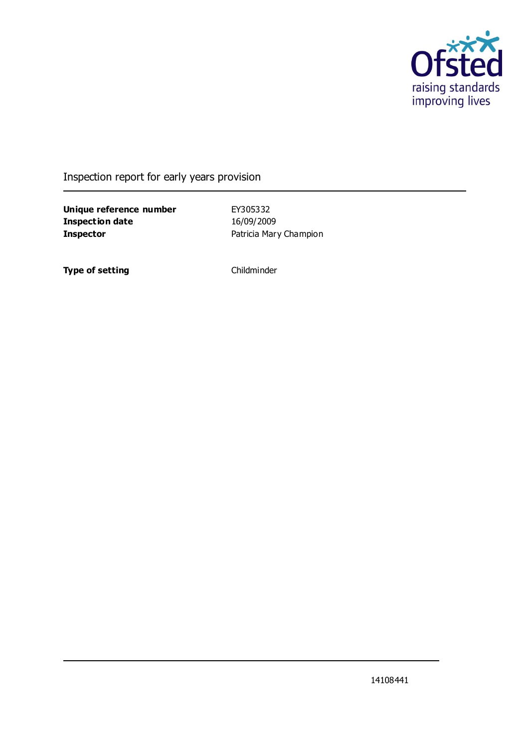

Inspection report for early years provision

**Unique reference number** EY305332 **Inspection date** 16/09/2009 **Inspector Patricia Mary Champion** 

**Type of setting** Childminder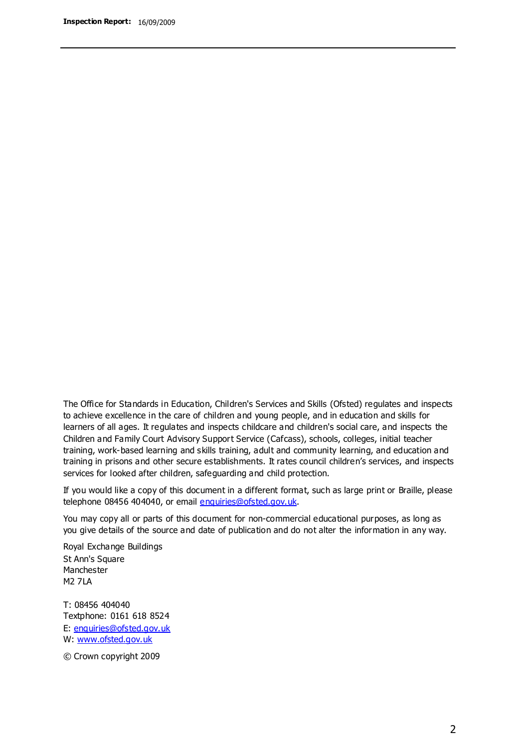The Office for Standards in Education, Children's Services and Skills (Ofsted) regulates and inspects to achieve excellence in the care of children and young people, and in education and skills for learners of all ages. It regulates and inspects childcare and children's social care, and inspects the Children and Family Court Advisory Support Service (Cafcass), schools, colleges, initial teacher training, work-based learning and skills training, adult and community learning, and education and training in prisons and other secure establishments. It rates council children's services, and inspects services for looked after children, safeguarding and child protection.

If you would like a copy of this document in a different format, such as large print or Braille, please telephone 08456 404040, or email enquiries@ofsted.gov.uk.

You may copy all or parts of this document for non-commercial educational purposes, as long as you give details of the source and date of publication and do not alter the information in any way.

Royal Exchange Buildings St Ann's Square Manchester M2 7LA

T: 08456 404040 Textphone: 0161 618 8524 E: enquiries@ofsted.gov.uk W: [www.ofsted.gov.uk](http://www.ofsted.gov.uk/)

© Crown copyright 2009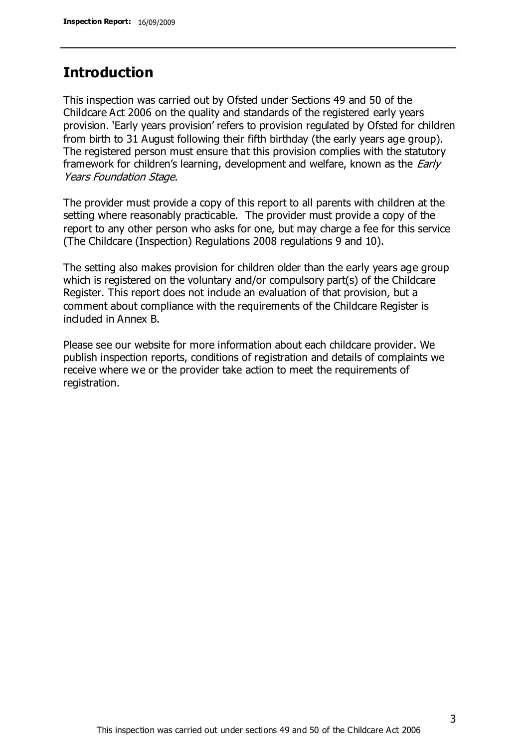## **Introduction**

This inspection was carried out by Ofsted under Sections 49 and 50 of the Childcare Act 2006 on the quality and standards of the registered early years provision. 'Early years provision' refers to provision regulated by Ofsted for children from birth to 31 August following their fifth birthday (the early years age group). The registered person must ensure that this provision complies with the statutory framework for children's learning, development and welfare, known as the *Early* Years Foundation Stage.

The provider must provide a copy of this report to all parents with children at the setting where reasonably practicable. The provider must provide a copy of the report to any other person who asks for one, but may charge a fee for this service (The Childcare (Inspection) Regulations 2008 regulations 9 and 10).

The setting also makes provision for children older than the early years age group which is registered on the voluntary and/or compulsory part(s) of the Childcare Register. This report does not include an evaluation of that provision, but a comment about compliance with the requirements of the Childcare Register is included in Annex B.

Please see our website for more information about each childcare provider. We publish inspection reports, conditions of registration and details of complaints we receive where we or the provider take action to meet the requirements of registration.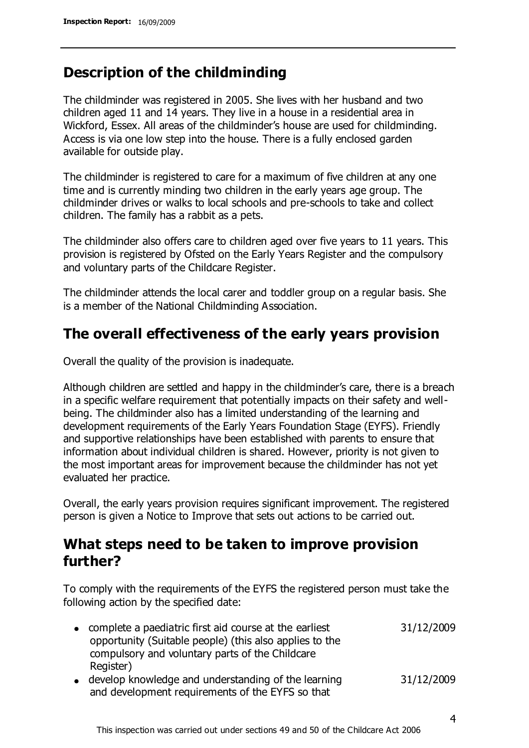## **Description of the childminding**

The childminder was registered in 2005. She lives with her husband and two children aged 11 and 14 years. They live in a house in a residential area in Wickford, Essex. All areas of the childminder's house are used for childminding. Access is via one low step into the house. There is a fully enclosed garden available for outside play.

The childminder is registered to care for a maximum of five children at any one time and is currently minding two children in the early years age group. The childminder drives or walks to local schools and pre-schools to take and collect children. The family has a rabbit as a pets.

The childminder also offers care to children aged over five years to 11 years. This provision is registered by Ofsted on the Early Years Register and the compulsory and voluntary parts of the Childcare Register.

The childminder attends the local carer and toddler group on a regular basis. She is a member of the National Childminding Association.

## **The overall effectiveness of the early years provision**

Overall the quality of the provision is inadequate.

Although children are settled and happy in the childminder's care, there is a breach in a specific welfare requirement that potentially impacts on their safety and wellbeing. The childminder also has a limited understanding of the learning and development requirements of the Early Years Foundation Stage (EYFS). Friendly and supportive relationships have been established with parents to ensure that information about individual children is shared. However, priority is not given to the most important areas for improvement because the childminder has not yet evaluated her practice.

Overall, the early years provision requires significant improvement. The registered person is given a Notice to Improve that sets out actions to be carried out.

## **What steps need to be taken to improve provision further?**

To comply with the requirements of the EYFS the registered person must take the following action by the specified date:

| • complete a paediatric first aid course at the earliest<br>opportunity (Suitable people) (this also applies to the<br>compulsory and voluntary parts of the Childcare | 31/12/2009 |
|------------------------------------------------------------------------------------------------------------------------------------------------------------------------|------------|
| Register)<br>• develop knowledge and understanding of the learning                                                                                                     | 31/12/2009 |
|                                                                                                                                                                        |            |

and development requirements of the EYFS so that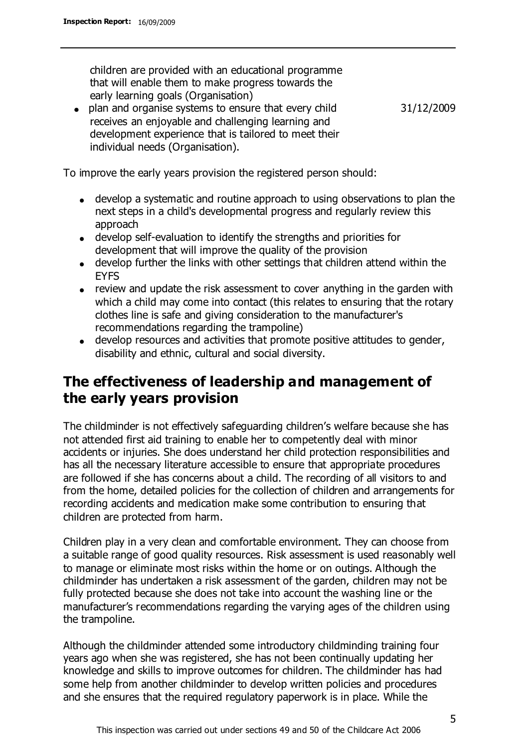children are provided with an educational programme that will enable them to make progress towards the early learning goals (Organisation)

plan and organise systems to ensure that every child receives an enjoyable and challenging learning and development experience that is tailored to meet their individual needs (Organisation).

31/12/2009

To improve the early years provision the registered person should:

- develop a systematic and routine approach to using observations to plan the next steps in a child's developmental progress and regularly review this approach
- develop self-evaluation to identify the strengths and priorities for development that will improve the quality of the provision
- develop further the links with other settings that children attend within the **FYFS**
- review and update the risk assessment to cover anything in the garden with which a child may come into contact (this relates to ensuring that the rotary clothes line is safe and giving consideration to the manufacturer's recommendations regarding the trampoline)
- develop resources and activities that promote positive attitudes to gender, disability and ethnic, cultural and social diversity.

## **The effectiveness of leadership and management of the early years provision**

The childminder is not effectively safeguarding children's welfare because she has not attended first aid training to enable her to competently deal with minor accidents or injuries. She does understand her child protection responsibilities and has all the necessary literature accessible to ensure that appropriate procedures are followed if she has concerns about a child. The recording of all visitors to and from the home, detailed policies for the collection of children and arrangements for recording accidents and medication make some contribution to ensuring that children are protected from harm.

Children play in a very clean and comfortable environment. They can choose from a suitable range of good quality resources. Risk assessment is used reasonably well to manage or eliminate most risks within the home or on outings. Although the childminder has undertaken a risk assessment of the garden, children may not be fully protected because she does not take into account the washing line or the manufacturer's recommendations regarding the varying ages of the children using the trampoline.

Although the childminder attended some introductory childminding training four years ago when she was registered, she has not been continually updating her knowledge and skills to improve outcomes for children. The childminder has had some help from another childminder to develop written policies and procedures and she ensures that the required regulatory paperwork is in place. While the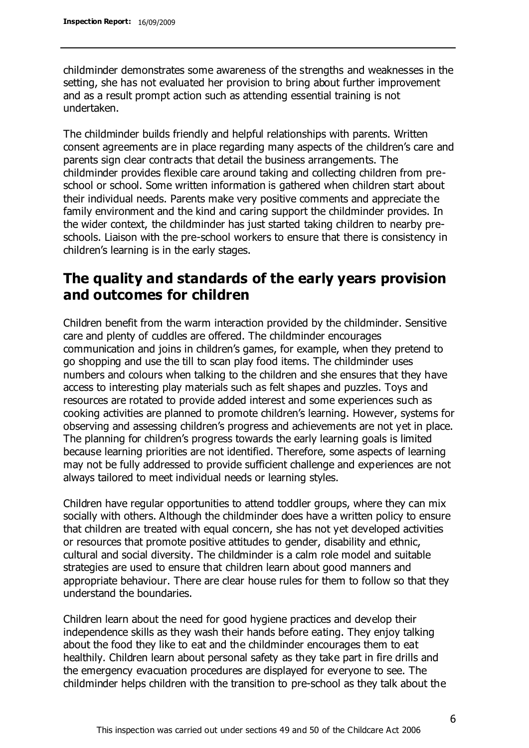childminder demonstrates some awareness of the strengths and weaknesses in the setting, she has not evaluated her provision to bring about further improvement and as a result prompt action such as attending essential training is not undertaken.

The childminder builds friendly and helpful relationships with parents. Written consent agreements are in place regarding many aspects of the children's care and parents sign clear contracts that detail the business arrangements. The childminder provides flexible care around taking and collecting children from preschool or school. Some written information is gathered when children start about their individual needs. Parents make very positive comments and appreciate the family environment and the kind and caring support the childminder provides. In the wider context, the childminder has just started taking children to nearby preschools. Liaison with the pre-school workers to ensure that there is consistency in children's learning is in the early stages.

## **The quality and standards of the early years provision and outcomes for children**

Children benefit from the warm interaction provided by the childminder. Sensitive care and plenty of cuddles are offered. The childminder encourages communication and joins in children's games, for example, when they pretend to go shopping and use the till to scan play food items. The childminder uses numbers and colours when talking to the children and she ensures that they have access to interesting play materials such as felt shapes and puzzles. Toys and resources are rotated to provide added interest and some experiences such as cooking activities are planned to promote children's learning. However, systems for observing and assessing children's progress and achievements are not yet in place. The planning for children's progress towards the early learning goals is limited because learning priorities are not identified. Therefore, some aspects of learning may not be fully addressed to provide sufficient challenge and experiences are not always tailored to meet individual needs or learning styles.

Children have regular opportunities to attend toddler groups, where they can mix socially with others. Although the childminder does have a written policy to ensure that children are treated with equal concern, she has not yet developed activities or resources that promote positive attitudes to gender, disability and ethnic, cultural and social diversity. The childminder is a calm role model and suitable strategies are used to ensure that children learn about good manners and appropriate behaviour. There are clear house rules for them to follow so that they understand the boundaries.

Children learn about the need for good hygiene practices and develop their independence skills as they wash their hands before eating. They enjoy talking about the food they like to eat and the childminder encourages them to eat healthily. Children learn about personal safety as they take part in fire drills and the emergency evacuation procedures are displayed for everyone to see. The childminder helps children with the transition to pre-school as they talk about the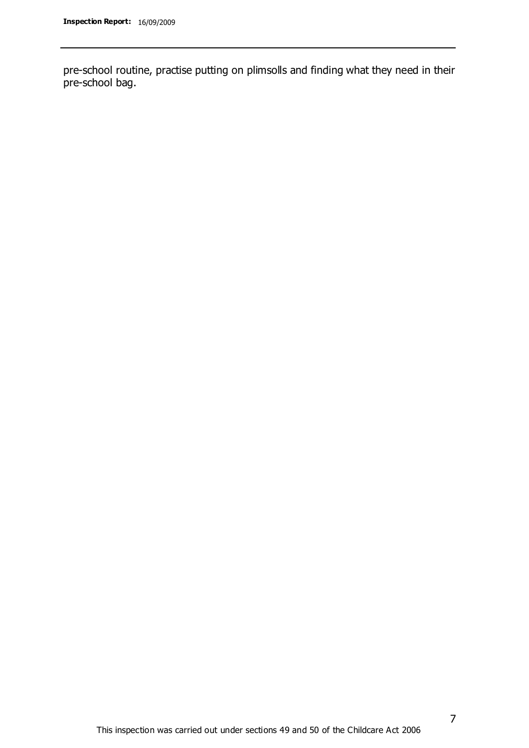pre-school routine, practise putting on plimsolls and finding what they need in their pre-school bag.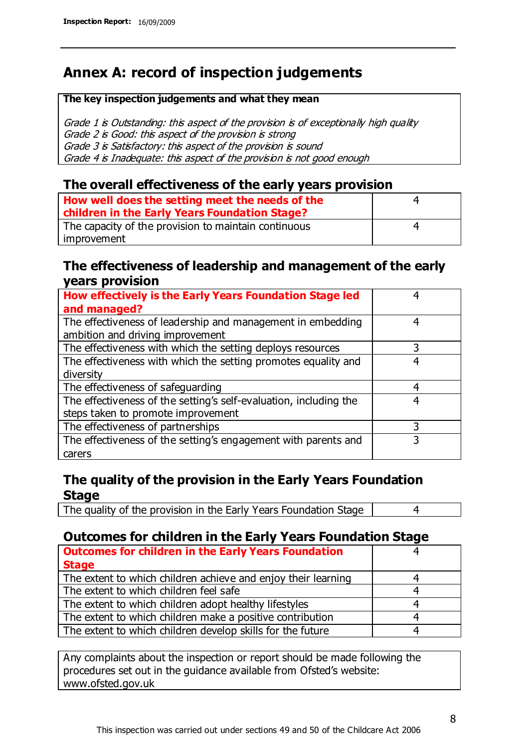# **Annex A: record of inspection judgements**

#### **The key inspection judgements and what they mean**

Grade 1 is Outstanding: this aspect of the provision is of exceptionally high quality Grade 2 is Good: this aspect of the provision is strong Grade 3 is Satisfactory: this aspect of the provision is sound Grade 4 is Inadequate: this aspect of the provision is not good enough

### **The overall effectiveness of the early years provision**

| How well does the setting meet the needs of the<br>children in the Early Years Foundation Stage? | 4 |
|--------------------------------------------------------------------------------------------------|---|
| The capacity of the provision to maintain continuous                                             | 4 |
| improvement                                                                                      |   |

### **The effectiveness of leadership and management of the early years provision**

| How effectively is the Early Years Foundation Stage led                                         | 4 |
|-------------------------------------------------------------------------------------------------|---|
| and managed?                                                                                    |   |
| The effectiveness of leadership and management in embedding<br>ambition and driving improvement | 4 |
| The effectiveness with which the setting deploys resources                                      | 3 |
| The effectiveness with which the setting promotes equality and                                  | 4 |
| diversity                                                                                       |   |
| The effectiveness of safeguarding                                                               | 4 |
| The effectiveness of the setting's self-evaluation, including the                               | 4 |
| steps taken to promote improvement                                                              |   |
| The effectiveness of partnerships                                                               | 3 |
| The effectiveness of the setting's engagement with parents and                                  |   |
| carers                                                                                          |   |

### **The quality of the provision in the Early Years Foundation Stage**

The quality of the provision in the Early Years Foundation Stage | 4

### **Outcomes for children in the Early Years Foundation Stage**

| <b>Outcomes for children in the Early Years Foundation</b>    |   |
|---------------------------------------------------------------|---|
| <b>Stage</b>                                                  |   |
| The extent to which children achieve and enjoy their learning |   |
| The extent to which children feel safe                        | 4 |
| The extent to which children adopt healthy lifestyles         |   |
| The extent to which children make a positive contribution     |   |
| The extent to which children develop skills for the future    |   |

Any complaints about the inspection or report should be made following the procedures set out in the guidance available from Ofsted's website: www.ofsted.gov.uk